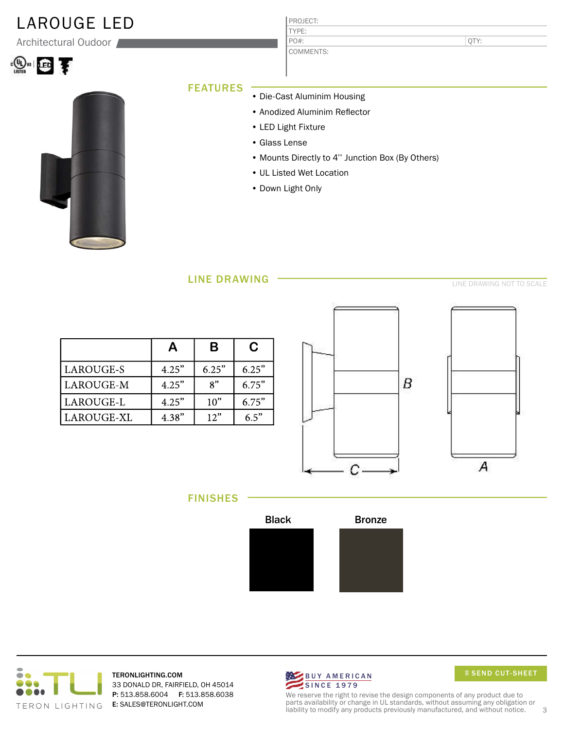## LAROUGE LED

Architectural Oudoor

| $"$ is $  \cdot  $ | − |
|--------------------|---|
|--------------------|---|



### PROJECT: TYPE:

COMMENTS: PO#:

QTY:

### **FEATURES**

- Die-Cast Aluminim Housing
	- Anodized Aluminim Reflector
- LED Light Fixture
- Glass Lense
- Mounts Directly to 4'' Junction Box (By Others)
- UL Listed Wet Location
- Down Light Only

### LINE DRAWING

LINE DRAWING NOT TO SCALE

|            | А     | B                           | C     |
|------------|-------|-----------------------------|-------|
| LAROUGE-S  | 4.25" | 6.25"                       | 6.25" |
| LAROUGE-M  | 4.25" | $\mathbf{R}^{\prime\prime}$ | 6.75" |
| LAROUGE-L  | 4.25" | 10 <sup>2</sup>             | 6.75" |
| LAROUGE-XL | 4.38" | 12"                         | 65"   |





FINISHES





TERONLIGHTING.COM 33 DONALD DR, FAIRFIELD, OH 45014 P: 513.858.6004 F: 513.858.6038 E: SALES@TERONLIGHT.COM



We reserve the right to revise the design components of any product due to parts availability or change in UL standards, without assuming any obligation or liability to modify any products previously manufactured, and without notice. 3